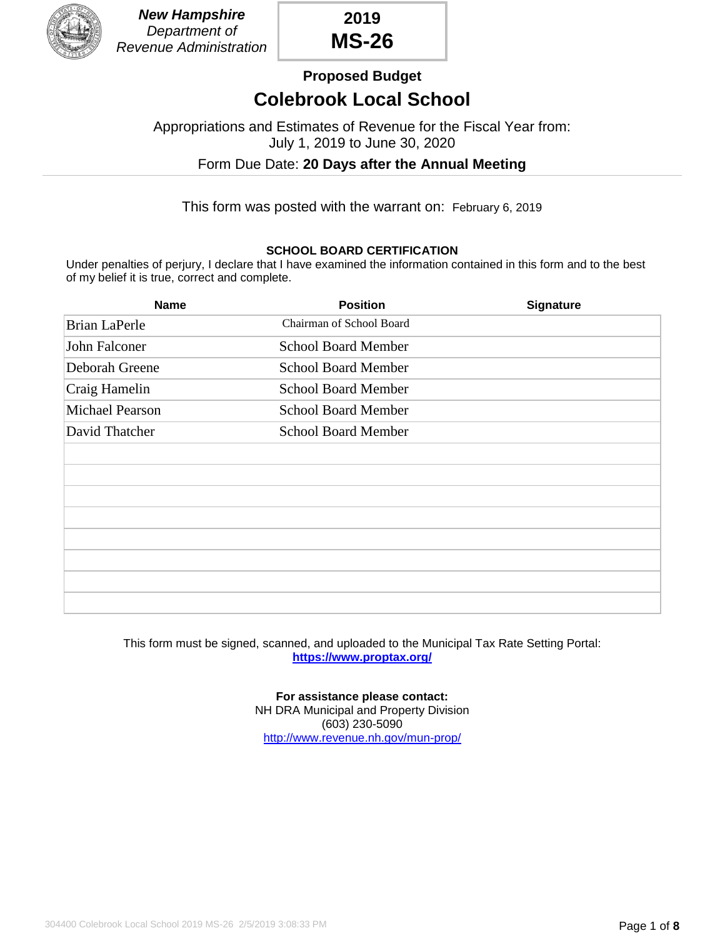

**2019 MS-26**

**Proposed Budget**

## **Colebrook Local School**

Appropriations and Estimates of Revenue for the Fiscal Year from: July 1, 2019 to June 30, 2020

Form Due Date: **20 Days after the Annual Meeting**

This form was posted with the warrant on: February 6, 2019

#### **SCHOOL BOARD CERTIFICATION**

Under penalties of perjury, I declare that I have examined the information contained in this form and to the best of my belief it is true, correct and complete.

| <b>Name</b>            | <b>Position</b>            | <b>Signature</b> |
|------------------------|----------------------------|------------------|
| <b>Brian LaPerle</b>   | Chairman of School Board   |                  |
| John Falconer          | <b>School Board Member</b> |                  |
| Deborah Greene         | <b>School Board Member</b> |                  |
| Craig Hamelin          | <b>School Board Member</b> |                  |
| <b>Michael Pearson</b> | <b>School Board Member</b> |                  |
| David Thatcher         | <b>School Board Member</b> |                  |
|                        |                            |                  |
|                        |                            |                  |
|                        |                            |                  |
|                        |                            |                  |
|                        |                            |                  |
|                        |                            |                  |
|                        |                            |                  |
|                        |                            |                  |

This form must be signed, scanned, and uploaded to the Municipal Tax Rate Setting Portal: **<https://www.proptax.org/>**

> **For assistance please contact:** NH DRA Municipal and Property Division (603) 230-5090 <http://www.revenue.nh.gov/mun-prop/>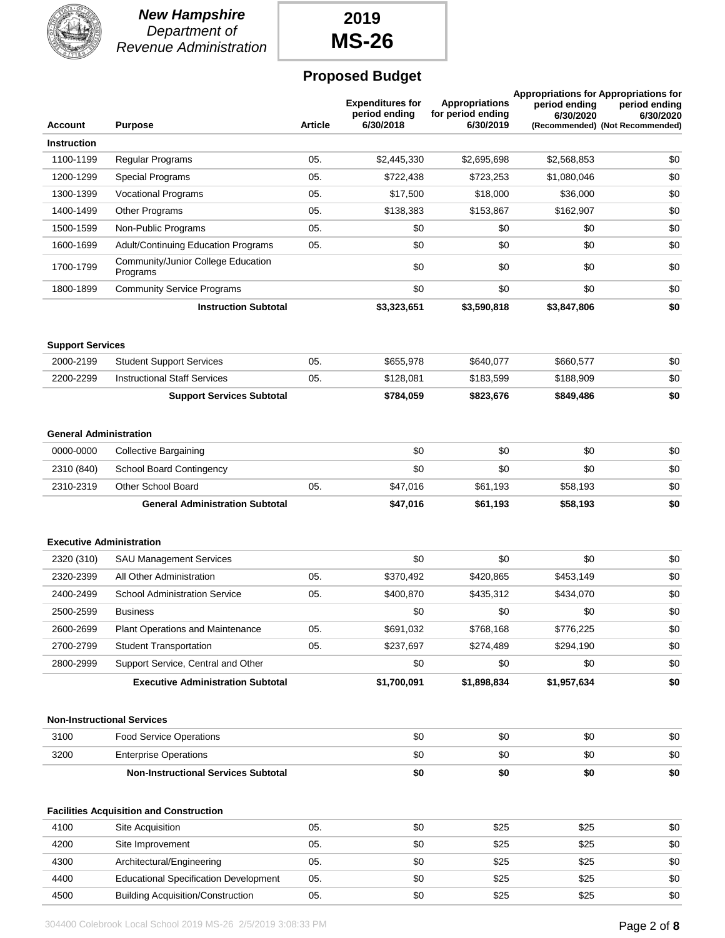

#### *New Hampshire Department of Revenue Administration*

# **2019 MS-26**

### **Proposed Budget**

| <b>Account</b>                | <b>Purpose</b>                                 | <b>Article</b> | <b>Expenditures for</b><br>period ending<br>6/30/2018 | <b>Appropriations</b><br>for period ending<br>6/30/2019 | period ending<br>6/30/2020 | <b>Appropriations for Appropriations for</b><br>period ending<br>6/30/2020<br>(Recommended) (Not Recommended) |
|-------------------------------|------------------------------------------------|----------------|-------------------------------------------------------|---------------------------------------------------------|----------------------------|---------------------------------------------------------------------------------------------------------------|
| <b>Instruction</b>            |                                                |                |                                                       |                                                         |                            |                                                                                                               |
| 1100-1199                     | Regular Programs                               | 05.            | \$2,445,330                                           | \$2,695,698                                             | \$2,568,853                | \$0                                                                                                           |
| 1200-1299                     | Special Programs                               | 05.            | \$722,438                                             | \$723,253                                               | \$1,080,046                | \$0                                                                                                           |
| 1300-1399                     | <b>Vocational Programs</b>                     | 05.            | \$17,500                                              | \$18,000                                                | \$36,000                   | \$0                                                                                                           |
| 1400-1499                     | Other Programs                                 | 05.            | \$138,383                                             | \$153,867                                               | \$162,907                  | \$0                                                                                                           |
| 1500-1599                     | Non-Public Programs                            | 05.            | \$0                                                   | \$0                                                     | \$0                        | \$0                                                                                                           |
| 1600-1699                     | Adult/Continuing Education Programs            | 05.            | \$0                                                   | \$0                                                     | \$0                        | \$0                                                                                                           |
| 1700-1799                     | Community/Junior College Education<br>Programs |                | \$0                                                   | \$0                                                     | \$0                        | \$0                                                                                                           |
| 1800-1899                     | <b>Community Service Programs</b>              |                | \$0                                                   | \$0                                                     | \$0                        | \$0                                                                                                           |
|                               | <b>Instruction Subtotal</b>                    |                | \$3,323,651                                           | \$3,590,818                                             | \$3,847,806                | \$0                                                                                                           |
| <b>Support Services</b>       |                                                |                |                                                       |                                                         |                            |                                                                                                               |
| 2000-2199                     | <b>Student Support Services</b>                | 05.            | \$655,978                                             | \$640,077                                               | \$660,577                  | \$0                                                                                                           |
| 2200-2299                     | <b>Instructional Staff Services</b>            | 05.            | \$128,081                                             | \$183,599                                               | \$188,909                  | \$0                                                                                                           |
|                               | <b>Support Services Subtotal</b>               |                | \$784,059                                             | \$823,676                                               | \$849,486                  | \$0                                                                                                           |
| <b>General Administration</b> |                                                |                |                                                       |                                                         |                            |                                                                                                               |
| 0000-0000                     | <b>Collective Bargaining</b>                   |                | \$0                                                   | \$0                                                     | \$0                        | \$0                                                                                                           |
| 2310 (840)                    | <b>School Board Contingency</b>                |                | \$0                                                   | \$0                                                     | \$0                        | \$0                                                                                                           |
| 2310-2319                     | Other School Board                             | 05.            | \$47,016                                              | \$61,193                                                | \$58,193                   | \$0                                                                                                           |
|                               | <b>General Administration Subtotal</b>         |                | \$47,016                                              | \$61,193                                                | \$58,193                   | \$0                                                                                                           |
|                               | <b>Executive Administration</b>                |                |                                                       |                                                         |                            |                                                                                                               |
| 2320 (310)                    | <b>SAU Management Services</b>                 |                | \$0                                                   | \$0                                                     | \$0                        | \$0                                                                                                           |
| 2320-2399                     | All Other Administration                       | 05.            | \$370,492                                             | \$420,865                                               | \$453,149                  | \$0                                                                                                           |
| 2400-2499                     | <b>School Administration Service</b>           | 05.            | \$400,870                                             | \$435,312                                               | \$434,070                  | \$0                                                                                                           |
| 2500-2599                     | <b>Business</b>                                |                | \$0                                                   | \$0                                                     | \$0                        | \$0                                                                                                           |
| 2600-2699                     | Plant Operations and Maintenance               | 05.            | \$691,032                                             | \$768,168                                               | \$776,225                  | \$0                                                                                                           |
| 2700-2799                     | <b>Student Transportation</b>                  | 05.            | \$237,697                                             | \$274,489                                               | \$294,190                  | \$0                                                                                                           |
| 2800-2999                     | Support Service, Central and Other             |                | \$0                                                   | \$0                                                     | \$0                        | \$0                                                                                                           |
|                               | <b>Executive Administration Subtotal</b>       |                | \$1,700,091                                           | \$1,898,834                                             | \$1,957,634                | \$0                                                                                                           |
|                               | <b>Non-Instructional Services</b>              |                |                                                       |                                                         |                            |                                                                                                               |
| 3100                          | <b>Food Service Operations</b>                 |                | \$0                                                   | \$0                                                     | \$0                        | \$0                                                                                                           |
| 3200                          | <b>Enterprise Operations</b>                   |                | \$0                                                   | \$0                                                     | \$0                        | \$0                                                                                                           |
|                               | <b>Non-Instructional Services Subtotal</b>     |                | \$0                                                   | \$0                                                     | \$0                        | \$0                                                                                                           |
|                               | <b>Facilities Acquisition and Construction</b> |                |                                                       |                                                         |                            |                                                                                                               |
| 4100                          | Site Acquisition                               | 05.            | \$0                                                   | \$25                                                    | \$25                       | \$0                                                                                                           |
| 4200                          | Site Improvement                               | 05.            | \$0                                                   | \$25                                                    | \$25                       | \$0                                                                                                           |
| 4300                          | Architectural/Engineering                      | 05.            | \$0                                                   | \$25                                                    | \$25                       | \$0                                                                                                           |
| 4400                          | <b>Educational Specification Development</b>   | 05.            | \$0                                                   | \$25                                                    | \$25                       | \$0                                                                                                           |
| 4500                          | <b>Building Acquisition/Construction</b>       | 05.            | \$0                                                   | \$25                                                    | \$25                       | \$0                                                                                                           |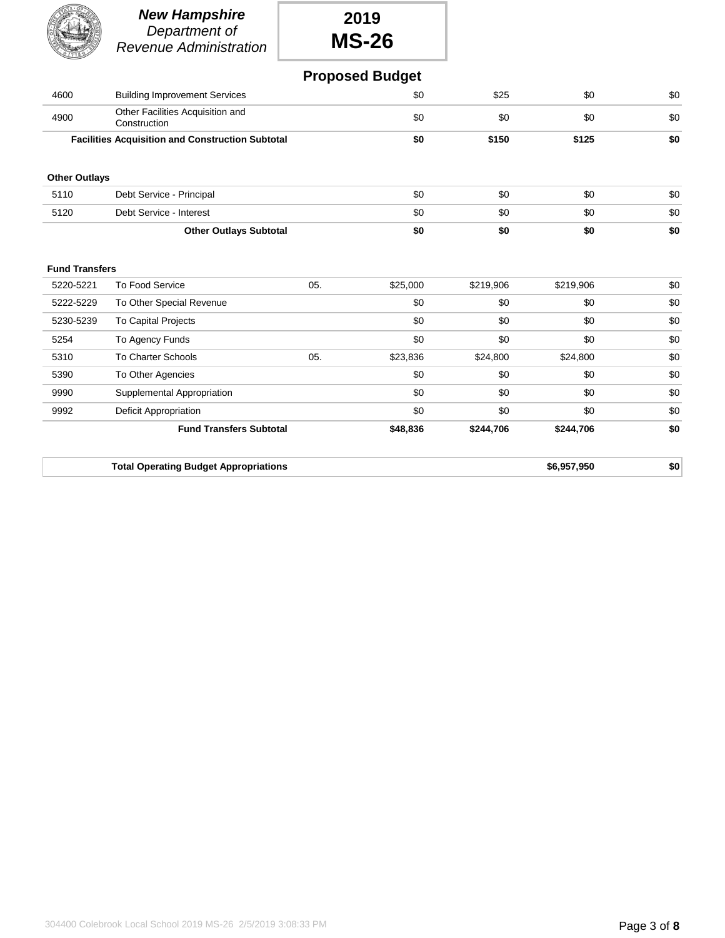|                       | <b>New Hampshire</b><br>Department of<br><b>Revenue Administration</b> |     | 2019<br><b>MS-26</b>   |           |             |     |
|-----------------------|------------------------------------------------------------------------|-----|------------------------|-----------|-------------|-----|
|                       |                                                                        |     | <b>Proposed Budget</b> |           |             |     |
| 4600                  | <b>Building Improvement Services</b>                                   |     | \$0                    | \$25      | \$0         | \$0 |
| 4900                  | Other Facilities Acquisition and<br>Construction                       |     | \$0                    | \$0       | \$0         | \$0 |
|                       | <b>Facilities Acquisition and Construction Subtotal</b>                |     | \$0                    | \$150     | \$125       | \$0 |
| <b>Other Outlays</b>  |                                                                        |     |                        |           |             |     |
| 5110                  | Debt Service - Principal                                               |     | \$0                    | \$0       | \$0         | \$0 |
| 5120                  | Debt Service - Interest                                                |     | \$0                    | \$0       | \$0         | \$0 |
|                       | <b>Other Outlays Subtotal</b>                                          |     | \$0                    | \$0       | \$0         | \$0 |
| <b>Fund Transfers</b> |                                                                        |     |                        |           |             |     |
| 5220-5221             | To Food Service                                                        | 05. | \$25,000               | \$219,906 | \$219,906   | \$0 |
| 5222-5229             | To Other Special Revenue                                               |     | \$0                    | \$0       | \$0         | \$0 |
| 5230-5239             | <b>To Capital Projects</b>                                             |     | \$0                    | \$0       | \$0         | \$0 |
| 5254                  | To Agency Funds                                                        |     | \$0                    | \$0       | \$0         | \$0 |
| 5310                  | To Charter Schools                                                     | 05. | \$23,836               | \$24,800  | \$24,800    | \$0 |
| 5390                  | To Other Agencies                                                      |     | \$0                    | \$0       | \$0         | \$0 |
| 9990                  | Supplemental Appropriation                                             |     | \$0                    | \$0       | \$0         | \$0 |
| 9992                  | <b>Deficit Appropriation</b>                                           |     | \$0                    | \$0       | \$0         | \$0 |
|                       | <b>Fund Transfers Subtotal</b>                                         |     | \$48,836               | \$244,706 | \$244,706   | \$0 |
|                       | <b>Total Operating Budget Appropriations</b>                           |     |                        |           | \$6,957,950 | \$0 |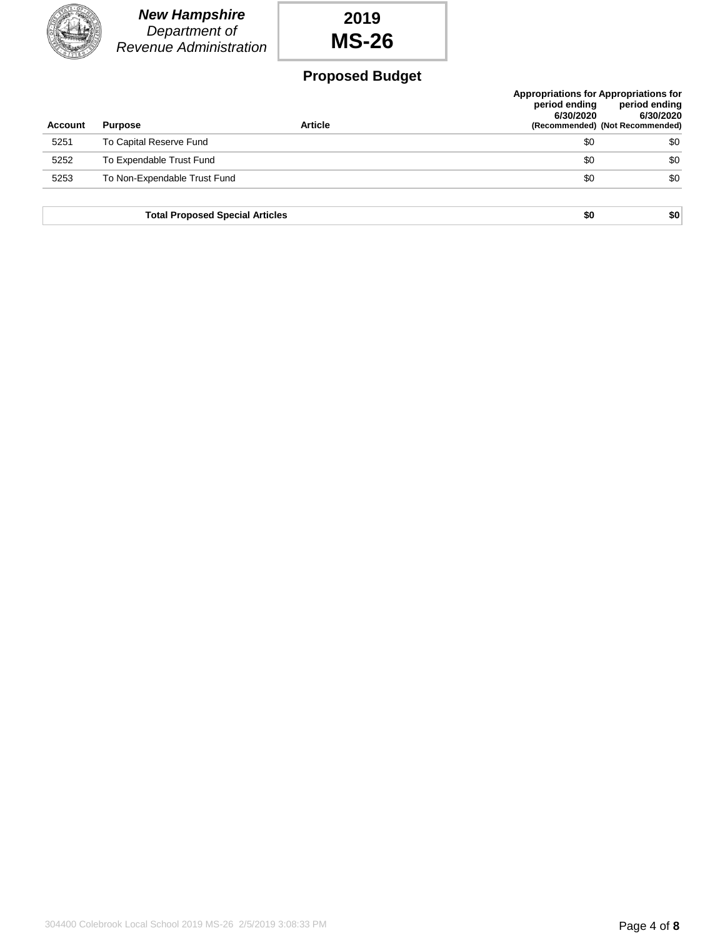|                | <b>New Hampshire</b><br>Department of<br>Revenue Administration | 2019<br><b>MS-26</b>   |                                                                            |                                                               |
|----------------|-----------------------------------------------------------------|------------------------|----------------------------------------------------------------------------|---------------------------------------------------------------|
|                |                                                                 | <b>Proposed Budget</b> |                                                                            |                                                               |
| <b>Account</b> | <b>Purpose</b>                                                  | <b>Article</b>         | <b>Appropriations for Appropriations for</b><br>period ending<br>6/30/2020 | period ending<br>6/30/2020<br>(Recommended) (Not Recommended) |
| 5251           | To Capital Reserve Fund                                         |                        | \$0                                                                        | \$0                                                           |
| 5252           | To Expendable Trust Fund                                        |                        | \$0                                                                        | \$0                                                           |
| 5253           | To Non-Expendable Trust Fund                                    |                        | \$0                                                                        | \$0                                                           |
|                | <b>Total Proposed Special Articles</b>                          |                        | \$0                                                                        | \$0                                                           |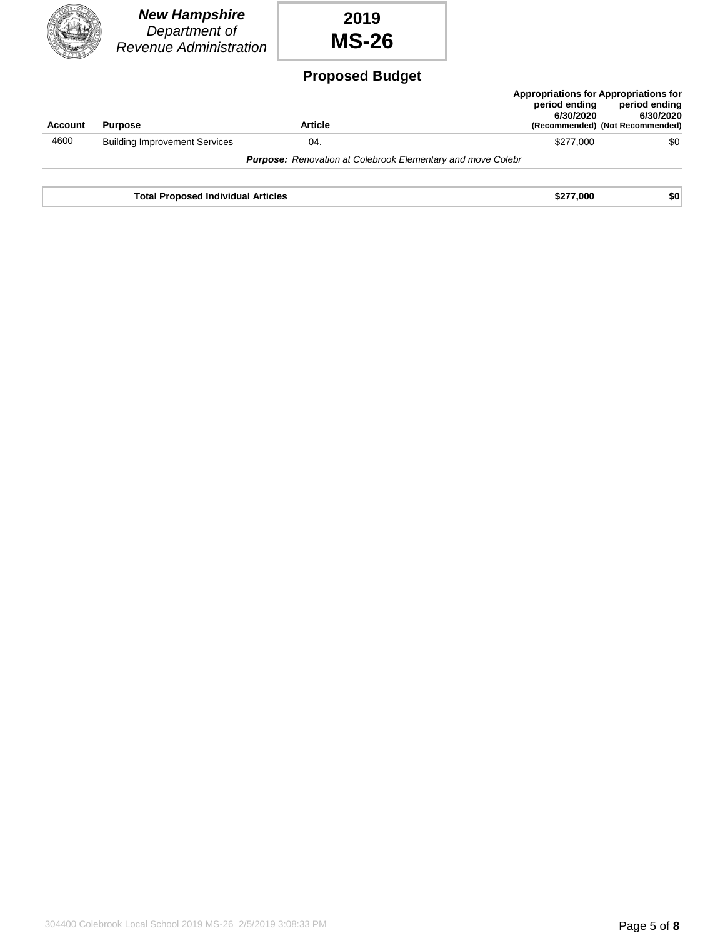|         | <b>New Hampshire</b><br>Department of<br>Revenue Administration | 2019<br><b>MS-26</b>                                               |                            |                                                                                                        |
|---------|-----------------------------------------------------------------|--------------------------------------------------------------------|----------------------------|--------------------------------------------------------------------------------------------------------|
|         |                                                                 | <b>Proposed Budget</b>                                             |                            |                                                                                                        |
| Account | <b>Purpose</b>                                                  | <b>Article</b>                                                     | period ending<br>6/30/2020 | Appropriations for Appropriations for<br>period ending<br>6/30/2020<br>(Recommended) (Not Recommended) |
| 4600    | <b>Building Improvement Services</b>                            | 04.                                                                | \$277,000                  | \$0                                                                                                    |
|         |                                                                 | <b>Purpose:</b> Renovation at Colebrook Elementary and move Colebr |                            |                                                                                                        |
|         | <b>Total Proposed Individual Articles</b>                       |                                                                    | \$277,000                  | \$0                                                                                                    |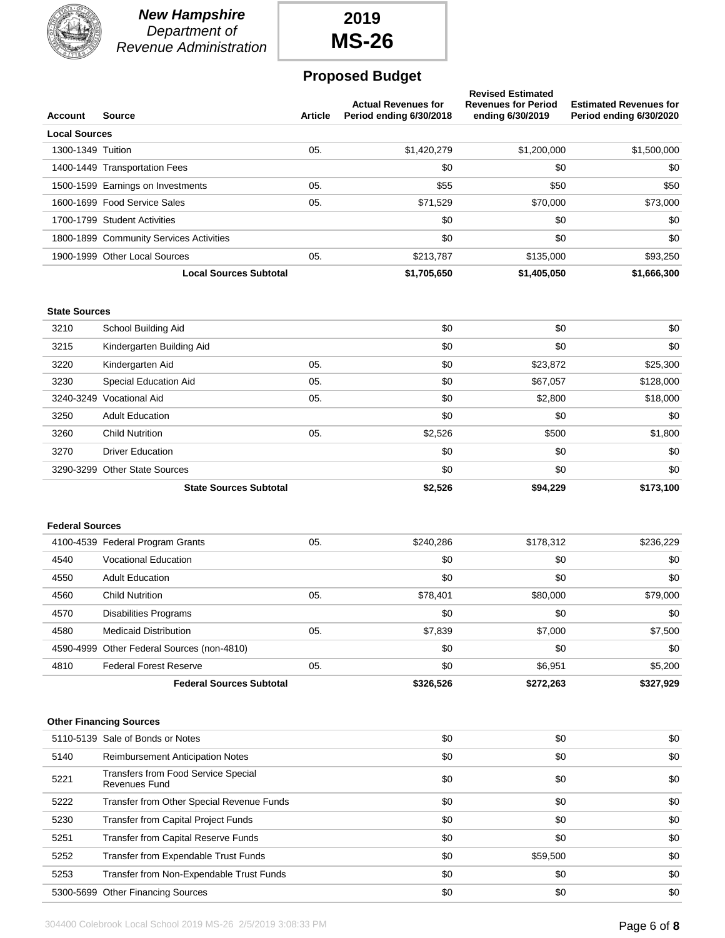

*New Hampshire Department of Revenue Administration*

### **2019 MS-26**

#### **Proposed Budget**

| <b>Account</b>         | Source                                               | <b>Article</b> | <b>Actual Revenues for</b><br>Period ending 6/30/2018 | <b>Revised Estimated</b><br><b>Revenues for Period</b><br>ending 6/30/2019 | <b>Estimated Revenues for</b><br>Period ending 6/30/2020 |
|------------------------|------------------------------------------------------|----------------|-------------------------------------------------------|----------------------------------------------------------------------------|----------------------------------------------------------|
| <b>Local Sources</b>   |                                                      |                |                                                       |                                                                            |                                                          |
| 1300-1349 Tuition      |                                                      | 05.            | \$1,420,279                                           | \$1,200,000                                                                | \$1,500,000                                              |
|                        | 1400-1449 Transportation Fees                        |                | \$0                                                   | \$0                                                                        | \$0                                                      |
|                        | 1500-1599 Earnings on Investments                    | 05.            | \$55                                                  | \$50                                                                       | \$50                                                     |
|                        | 1600-1699 Food Service Sales                         | 05.            | \$71,529                                              | \$70,000                                                                   | \$73,000                                                 |
|                        | 1700-1799 Student Activities                         |                | \$0                                                   | \$0                                                                        | \$0                                                      |
|                        | 1800-1899 Community Services Activities              |                | \$0                                                   | \$0                                                                        | \$0                                                      |
|                        | 1900-1999 Other Local Sources                        | 05.            | \$213,787                                             | \$135,000                                                                  | \$93,250                                                 |
|                        | <b>Local Sources Subtotal</b>                        |                | \$1,705,650                                           | \$1,405,050                                                                | \$1,666,300                                              |
| <b>State Sources</b>   |                                                      |                |                                                       |                                                                            |                                                          |
| 3210                   | School Building Aid                                  |                | \$0                                                   | \$0                                                                        | \$0                                                      |
| 3215                   | Kindergarten Building Aid                            |                | \$0                                                   | \$0                                                                        | \$0                                                      |
| 3220                   | Kindergarten Aid                                     | 05.            | \$0                                                   | \$23,872                                                                   | \$25,300                                                 |
| 3230                   | Special Education Aid                                | 05.            | \$0                                                   | \$67,057                                                                   | \$128,000                                                |
|                        | 3240-3249 Vocational Aid                             | 05.            | \$0                                                   | \$2,800                                                                    | \$18,000                                                 |
| 3250                   | <b>Adult Education</b>                               |                | \$0                                                   | \$0                                                                        | \$0                                                      |
| 3260                   | <b>Child Nutrition</b>                               | 05.            | \$2,526                                               | \$500                                                                      | \$1,800                                                  |
| 3270                   | <b>Driver Education</b>                              |                | \$0                                                   | \$0                                                                        | \$0                                                      |
|                        | 3290-3299 Other State Sources                        |                | \$0                                                   | \$0                                                                        | \$0                                                      |
|                        | <b>State Sources Subtotal</b>                        |                | \$2,526                                               | \$94,229                                                                   | \$173,100                                                |
| <b>Federal Sources</b> |                                                      |                |                                                       |                                                                            |                                                          |
|                        | 4100-4539 Federal Program Grants                     | 05.            | \$240,286                                             | \$178,312                                                                  | \$236,229                                                |
| 4540                   | <b>Vocational Education</b>                          |                | \$0                                                   | \$0                                                                        | \$0                                                      |
| 4550                   | <b>Adult Education</b>                               |                | \$0                                                   | \$0                                                                        | \$0                                                      |
| 4560                   | <b>Child Nutrition</b>                               | 05.            | \$78,401                                              | \$80,000                                                                   | \$79,000                                                 |
| 4570                   | <b>Disabilities Programs</b>                         |                | \$0                                                   | \$0                                                                        | \$0                                                      |
| 4580                   | <b>Medicaid Distribution</b>                         | 05.            | \$7,839                                               | \$7,000                                                                    | \$7,500                                                  |
|                        | 4590-4999 Other Federal Sources (non-4810)           |                | \$0                                                   | \$0                                                                        | \$0                                                      |
| 4810                   | <b>Federal Forest Reserve</b>                        | 05.            | \$0                                                   | \$6,951                                                                    | \$5,200                                                  |
|                        | <b>Federal Sources Subtotal</b>                      |                | \$326,526                                             | \$272,263                                                                  | \$327,929                                                |
|                        |                                                      |                |                                                       |                                                                            |                                                          |
|                        | <b>Other Financing Sources</b>                       |                |                                                       |                                                                            |                                                          |
|                        | 5110-5139 Sale of Bonds or Notes                     |                | \$0                                                   | \$0                                                                        | \$0                                                      |
| 5140                   | <b>Reimbursement Anticipation Notes</b>              |                | \$0                                                   | \$0                                                                        | \$0                                                      |
| 5221                   | Transfers from Food Service Special<br>Revenues Fund |                | \$0                                                   | \$0                                                                        | \$0                                                      |
| 5222                   | Transfer from Other Special Revenue Funds            |                | \$0                                                   | \$0                                                                        | \$0                                                      |
| 5230                   | Transfer from Capital Project Funds                  |                | \$0                                                   | \$0                                                                        | \$0                                                      |

5251 Transfer from Capital Reserve Funds \$0 \$0 \$0 5252 Transfer from Expendable Trust Funds **\$0** \$59,500 \$0 \$0 \$59,500 \$0 \$0 5253 Transfer from Non-Expendable Trust Funds \$0 \$0 \$0 5300-5699 Other Financing Sources \$0 \$0 \$0 \$0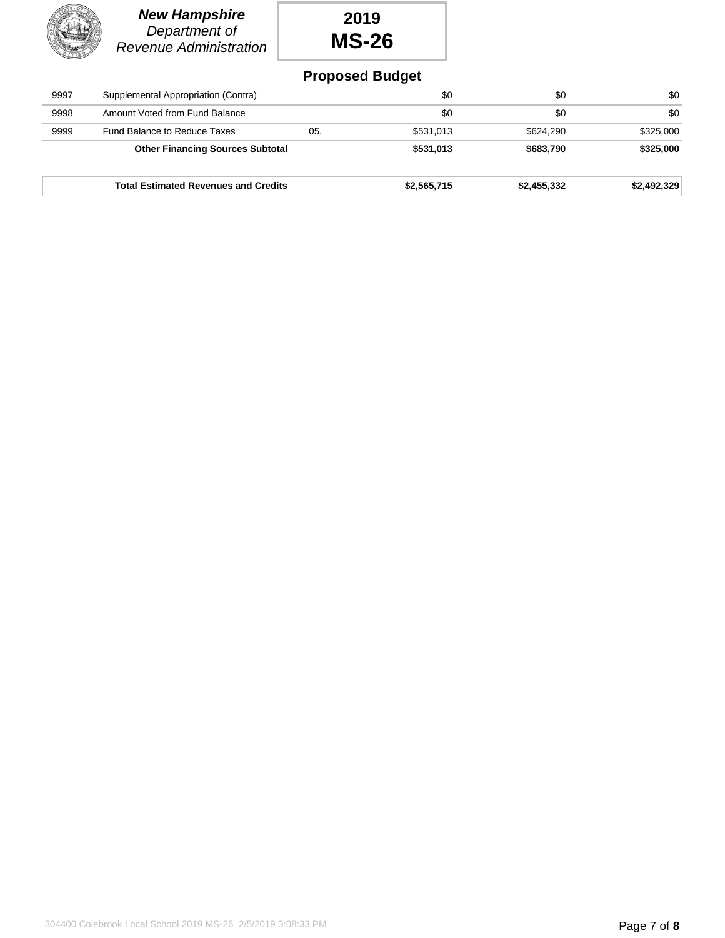| Λ           |
|-------------|
| <b>Reve</b> |

### *New Hampshire Department of Revenue Administration*

## **2019 MS-26**

### **Proposed Budget**

|      | <b>Total Estimated Revenues and Credits</b> |     | \$2,565,715 | \$2,455,332 | \$2,492,329 |
|------|---------------------------------------------|-----|-------------|-------------|-------------|
|      | <b>Other Financing Sources Subtotal</b>     |     | \$531,013   | \$683,790   | \$325,000   |
| 9999 | <b>Fund Balance to Reduce Taxes</b>         | 05. | \$531,013   | \$624,290   | \$325,000   |
| 9998 | Amount Voted from Fund Balance              |     | \$0         | \$0         | \$0         |
| 9997 | Supplemental Appropriation (Contra)         |     | \$0         | \$0         | \$0         |